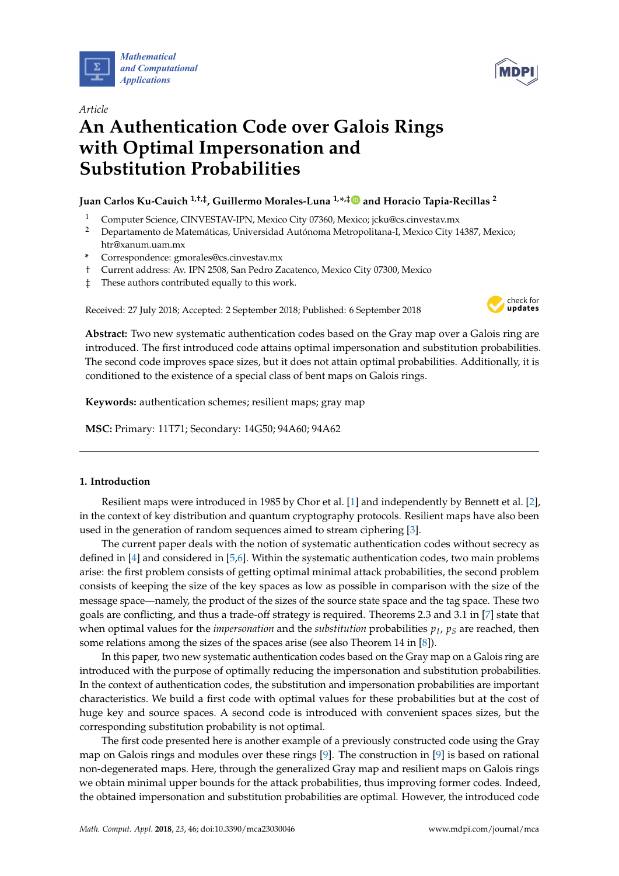



# *Article* **An Authentication Code over Galois Rings with Optimal Impersonation and Substitution Probabilities**

## **Juan Carlos Ku-Cauich 1,†,‡, Guillermo Morales-Luna 1,\* ,[‡](https://orcid.org/0000-0001-6800-4081) and Horacio Tapia-Recillas <sup>2</sup>**

- <sup>1</sup> Computer Science, CINVESTAV-IPN, Mexico City 07360, Mexico; jcku@cs.cinvestav.mx
- <sup>2</sup> Departamento de Matemáticas, Universidad Autónoma Metropolitana-I, Mexico City 14387, Mexico; htr@xanum.uam.mx
- **\*** Correspondence: gmorales@cs.cinvestav.mx
- † Current address: Av. IPN 2508, San Pedro Zacatenco, Mexico City 07300, Mexico
- ‡ These authors contributed equally to this work.

Received: 27 July 2018; Accepted: 2 September 2018; Published: 6 September 2018



**Abstract:** Two new systematic authentication codes based on the Gray map over a Galois ring are introduced. The first introduced code attains optimal impersonation and substitution probabilities. The second code improves space sizes, but it does not attain optimal probabilities. Additionally, it is conditioned to the existence of a special class of bent maps on Galois rings.

**Keywords:** authentication schemes; resilient maps; gray map

**MSC:** Primary: 11T71; Secondary: 14G50; 94A60; 94A62

## **1. Introduction**

Resilient maps were introduced in 1985 by Chor et al. [\[1\]](#page-11-0) and independently by Bennett et al. [\[2\]](#page-11-1), in the context of key distribution and quantum cryptography protocols. Resilient maps have also been used in the generation of random sequences aimed to stream ciphering [\[3\]](#page-12-0).

The current paper deals with the notion of systematic authentication codes without secrecy as defined in [\[4\]](#page-12-1) and considered in [\[5](#page-12-2)[,6\]](#page-12-3). Within the systematic authentication codes, two main problems arise: the first problem consists of getting optimal minimal attack probabilities, the second problem consists of keeping the size of the key spaces as low as possible in comparison with the size of the message space—namely, the product of the sizes of the source state space and the tag space. These two goals are conflicting, and thus a trade-off strategy is required. Theorems 2.3 and 3.1 in [\[7\]](#page-12-4) state that when optimal values for the *impersonation* and the *substitution* probabilities *p<sup>I</sup>* , *p<sup>S</sup>* are reached, then some relations among the sizes of the spaces arise (see also Theorem 14 in [\[8\]](#page-12-5)).

In this paper, two new systematic authentication codes based on the Gray map on a Galois ring are introduced with the purpose of optimally reducing the impersonation and substitution probabilities. In the context of authentication codes, the substitution and impersonation probabilities are important characteristics. We build a first code with optimal values for these probabilities but at the cost of huge key and source spaces. A second code is introduced with convenient spaces sizes, but the corresponding substitution probability is not optimal.

The first code presented here is another example of a previously constructed code using the Gray map on Galois rings and modules over these rings  $[9]$ . The construction in  $[9]$  is based on rational non-degenerated maps. Here, through the generalized Gray map and resilient maps on Galois rings we obtain minimal upper bounds for the attack probabilities, thus improving former codes. Indeed, the obtained impersonation and substitution probabilities are optimal. However, the introduced code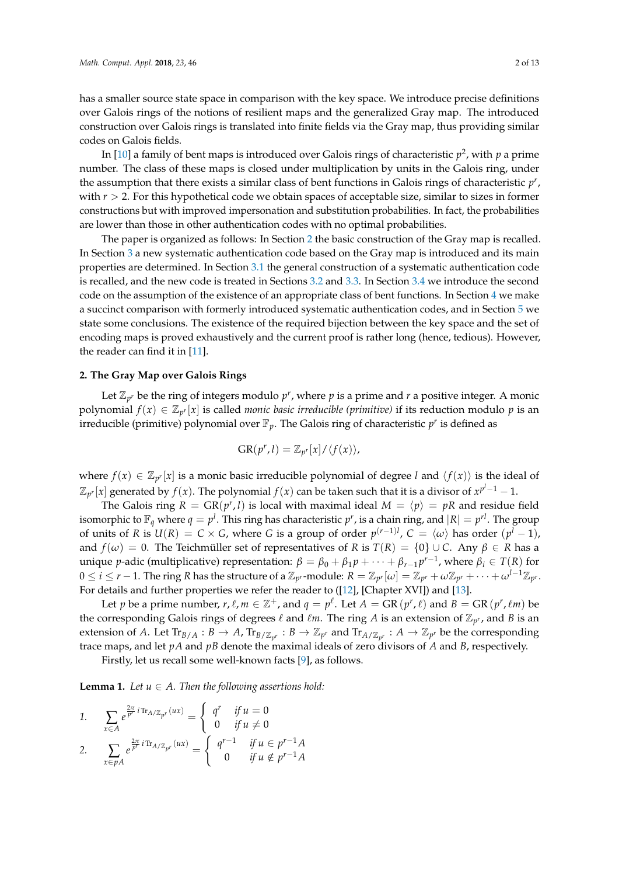has a smaller source state space in comparison with the key space. We introduce precise definitions over Galois rings of the notions of resilient maps and the generalized Gray map. The introduced construction over Galois rings is translated into finite fields via the Gray map, thus providing similar codes on Galois fields.

In [\[10\]](#page-12-7) a family of bent maps is introduced over Galois rings of characteristic  $p^2$ , with  $p$  a prime number. The class of these maps is closed under multiplication by units in the Galois ring, under the assumption that there exists a similar class of bent functions in Galois rings of characteristic *p r* , with  $r > 2$ . For this hypothetical code we obtain spaces of acceptable size, similar to sizes in former constructions but with improved impersonation and substitution probabilities. In fact, the probabilities are lower than those in other authentication codes with no optimal probabilities.

The paper is organized as follows: In Section [2](#page-1-0) the basic construction of the Gray map is recalled. In Section [3](#page-3-0) a new systematic authentication code based on the Gray map is introduced and its main properties are determined. In Section [3.1](#page-3-1) the general construction of a systematic authentication code is recalled, and the new code is treated in Sections [3.2](#page-4-0) and [3.3.](#page-6-0) In Section [3.4](#page-9-0) we introduce the second code on the assumption of the existence of an appropriate class of bent functions. In Section [4](#page-9-1) we make a succinct comparison with formerly introduced systematic authentication codes, and in Section [5](#page-11-2) we state some conclusions. The existence of the required bijection between the key space and the set of encoding maps is proved exhaustively and the current proof is rather long (hence, tedious). However, the reader can find it in [\[11\]](#page-12-8).

#### <span id="page-1-0"></span>**2. The Gray Map over Galois Rings**

Let  $\mathbb{Z}_{p^r}$  be the ring of integers modulo  $p^r$ , where  $p$  is a prime and  $r$  a positive integer. A monic polynomial  $f(x) \in \mathbb{Z}_{p^r}[x]$  is called *monic basic irreducible (primitive)* if its reduction modulo *p* is an irreducible (primitive) polynomial over  $\mathbb{F}_p$ . The Galois ring of characteristic  $p^r$  is defined as

$$
GR(p^r,l) = \mathbb{Z}_{p^r}[x]/\langle f(x) \rangle,
$$

where  $f(x) \in \mathbb{Z}_{p^r}[x]$  is a monic basic irreducible polynomial of degree *l* and  $\langle f(x) \rangle$  is the ideal of  $\mathbb{Z}_{p^r}[x]$  generated by  $f(x)$ . The polynomial  $f(x)$  can be taken such that it is a divisor of  $x^{p^l-1}-1$ .

The Galois ring  $R = \text{GR}(p^r, l)$  is local with maximal ideal  $M = \langle p \rangle = pR$  and residue field isomorphic to  $\mathbb{F}_q$  where  $q=p^l.$  This ring has characteristic  $p^r$ , is a chain ring, and  $|R|=p^{rl}.$  The group of units of *R* is  $U(R) = C \times G$ , where *G* is a group of order  $p^{(r-1)l}$ ,  $C = \langle \omega \rangle$  has order  $(p^{l} - 1)$ , and  $f(\omega) = 0$ . The Teichmüller set of representatives of *R* is  $T(R) = \{0\} \cup C$ . Any  $\beta \in R$  has a unique *p*-adic (multiplicative) representation:  $β = β₀ + β₁p + ⋯ + β<sub>r−1</sub>p<sup>r−1</sup>$ , where  $β<sub>i</sub> ∈ T(R)$  for  $0\leq i\leq r-1.$  The ring R has the structure of a  $\mathbb{Z}_{p^r}$ -module:  $R=\mathbb{Z}_{p^r}[\omega]=\mathbb{Z}_{p^r}+\omega\mathbb{Z}_{p^r}+\cdots+\omega^{l-1}\mathbb{Z}_{p^r}.$ For details and further properties we refer the reader to ([\[12\]](#page-12-9), [Chapter XVI]) and [\[13\]](#page-12-10).

Let *p* be a prime number,  $r$ ,  $\ell$ ,  $m \in \mathbb{Z}^+$ , and  $q = p^{\ell}$ . Let  $A = \text{GR}(p^r, \ell)$  and  $B = \text{GR}(p^r, \ell m)$  be the corresponding Galois rings of degrees  $\ell$  and  $\ell m$ . The ring *A* is an extension of  $\mathbb{Z}_{p^r}$ , and *B* is an extension of *A*. Let  $\text{Tr}_{B/A}: B \to A$ ,  $\text{Tr}_{B/\mathbb{Z}_{p^r}}: B \to \mathbb{Z}_{p^r}$  and  $\text{Tr}_{A/\mathbb{Z}_{p^r}}: A \to \mathbb{Z}_{p^r}$  be the corresponding trace maps, and let *pA* and *pB* denote the maximal ideals of zero divisors of *A* and *B*, respectively.

Firstly, let us recall some well-known facts [\[9\]](#page-12-6), as follows.

<span id="page-1-1"></span>**Lemma 1.** *Let*  $u \in A$ *. Then the following assertions hold:* 

1. 
$$
\sum_{x \in A} e^{\frac{2\pi}{p^r} i \text{Tr}_{A/\mathbb{Z}_{p^r}}(ux)} = \begin{cases} q^r & \text{if } u = 0\\ 0 & \text{if } u \neq 0 \end{cases}
$$
  
2. 
$$
\sum_{x \in pA} e^{\frac{2\pi}{p^r} i \text{Tr}_{A/\mathbb{Z}_{p^r}}(ux)} = \begin{cases} q^{r-1} & \text{if } u \in p^{r-1}A\\ 0 & \text{if } u \notin p^{r-1}A \end{cases}
$$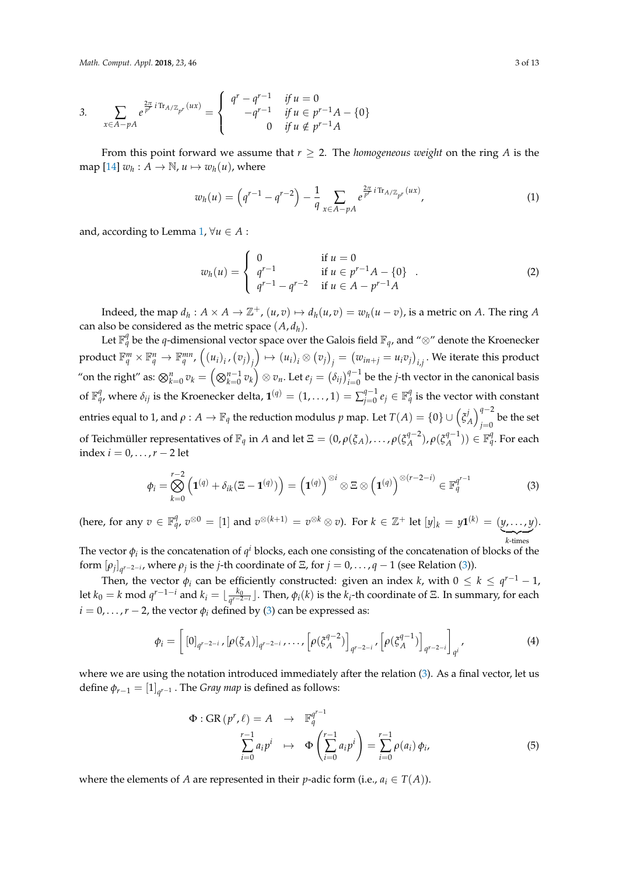3. 
$$
\sum_{x \in A - pA} e^{\frac{2\pi}{p^r} i \text{Tr}_{A/\mathbb{Z}_{p^r}}(ux)} = \begin{cases} q^r - q^{r-1} & \text{if } u = 0\\ -q^{r-1} & \text{if } u \in p^{r-1}A - \{0\}\\ 0 & \text{if } u \notin p^{r-1}A \end{cases}
$$

From this point forward we assume that  $r \geq 2$ . The *homogeneous weight* on the ring *A* is the map  $[14]$   $w_h: A \to \mathbb{N}$ ,  $u \mapsto w_h(u)$ , where

<span id="page-2-2"></span>
$$
w_h(u) = \left(q^{r-1} - q^{r-2}\right) - \frac{1}{q} \sum_{x \in A - pA} e^{\frac{2\pi}{p^r} i \text{Tr}_{A/\mathbb{Z}_{p^r}}(ux)},\tag{1}
$$

and, according to Lemma [1,](#page-1-1)  $\forall u \in A$ :

$$
w_h(u) = \begin{cases} 0 & \text{if } u = 0\\ q^{r-1} & \text{if } u \in p^{r-1}A - \{0\} \\ q^{r-1} - q^{r-2} & \text{if } u \in A - p^{r-1}A \end{cases}
$$
 (2)

Indeed, the map  $d_h: A \times A \to \mathbb{Z}^+$ ,  $(u, v) \mapsto d_h(u, v) = w_h(u - v)$ , is a metric on *A*. The ring *A* can also be considered as the metric space  $(A, d_h)$ .

Let  $\mathbb{F}_q^q$  be the *q*-dimensional vector space over the Galois field  $\mathbb{F}_q$ , and "⊗" denote the Kroenecker  $\operatorname{product} \, \mathbb{F}_q^m \times \mathbb{F}_q^n \to \mathbb{F}_q^{mn}$ ,  $\left(\left(u_i\right)_i$ ,  $\left(v_j\right)_j$  $\left(\psi\right)\mapsto(u_{i})_{i}\otimes(v_{j})_{j}=\left(w_{in+j}=u_{i}v_{j}\right)_{i,j}.$  We iterate this product "on the right" as:  $\bigotimes_{k=0}^n v_k=\Big(\bigotimes_{k=0}^{n-1} v_k\Big)\otimes v_n.$  Let  $e_j=\big(\delta_{ij}\big)_{i=0}^{q-1}$  be the *j*-th vector in the canonical basis of  $\mathbb{F}_q^q$ , where  $\delta_{ij}$  is the Kroenecker delta,  $\mathbf{1}^{(q)} = (1, \ldots, 1) = \sum_{i=0}^{q-1}$  $_{j=0}^{q-1}$   $e_{j}\in\mathbb{F}_{q}^{q}$  is the vector with constant entries equal to 1, and  $\rho: A \to \mathbb{F}_q$  the reduction modulus  $p$  map. Let  $T(A) = \{0\} \cup \left(\zeta_A^j\right)$  $\binom{f}{A}$ <sup>q-2</sup><br>*A*  $\binom{q-2}{i-1}$  $\int_{j=0}^{1}$  be the set of Teichmüller representatives of  $\mathbb{F}_q$  in  $A$  and let  $\Xi = (0, \rho(\xi_A), \ldots, \rho(\xi_A^{q-2}))$ *A* ), *ρ*(*ξ q*−1  $\mathbb{F}_q^{q-1}$ ))  $\in \mathbb{F}_q^q$ . For each index  $i = 0, \ldots, r-2$  let

<span id="page-2-0"></span>
$$
\phi_i = \bigotimes_{k=0}^{r-2} \left( \mathbf{1}^{(q)} + \delta_{ik} (\Xi - \mathbf{1}^{(q)}) \right) = \left( \mathbf{1}^{(q)} \right)^{\otimes i} \otimes \Xi \otimes \left( \mathbf{1}^{(q)} \right)^{\otimes (r-2-i)} \in \mathbb{F}_q^{q^{r-1}}
$$
(3)

(here, for any  $v\in\mathbb{F}_{q}^q$ ,  $v^{\otimes 0}=[1]$  and  $v^{\otimes (k+1)}=v^{\otimes k}\otimes v$ ). For  $k\in\mathbb{Z}^+$  let  $[y]_k=y\mathbf{1}^{(k)}=(y,\ldots,y]$  $\overline{k \cdot \text{times}}$ *k*-times ).

The vector  $\phi_i$  is the concatenation of  $q^i$  blocks, each one consisting of the concatenation of blocks of the form  $[\rho_j]_{q^{r-2-i}}$ , where  $\rho_j$  is the *j*-th coordinate of  $\Xi$ , for  $j = 0, \ldots, q-1$  (see Relation [\(3\)](#page-2-0)).

Then, the vector  $\phi_i$  can be efficiently constructed: given an index *k*, with  $0 \leq k \leq q^{r-1}-1$ , let  $k_0 = k \mod q^{r-1-i}$  and  $k_i = \lfloor \frac{k_0}{q^{r-2}} \rfloor$  $\frac{k_0}{q^{r-2-i}}$ ]. Then,  $\phi_i(k)$  is the  $k_i$ -th coordinate of Ξ. In summary, for each  $i = 0, \ldots, r - 2$ , the vector  $\phi_i$  defined by [\(3\)](#page-2-0) can be expressed as:

<span id="page-2-3"></span>
$$
\phi_i = \left[ [0]_{q^{r-2-i}}, [\rho(\xi_A)]_{q^{r-2-i}}, \dots, [\rho(\xi_A^{q-2})]_{q^{r-2-i}}, [\rho(\xi_A^{q-1})]_{q^{r-2-i}} \right]_{q^i}, \tag{4}
$$

where we are using the notation introduced immediately after the relation [\(3\)](#page-2-0). As a final vector, let us define  $\phi_{r-1} = [1]_{q^{r-1}}$  . The *Gray map* is defined as follows:

<span id="page-2-1"></span>
$$
\Phi: \text{GR}(p^r, \ell) = A \rightarrow \mathbb{F}_q^{q^{r-1}}
$$

$$
\sum_{i=0}^{r-1} a_i p^i \rightarrow \Phi\left(\sum_{i=0}^{r-1} a_i p^i\right) = \sum_{i=0}^{r-1} \rho(a_i) \phi_i,
$$
(5)

where the elements of *A* are represented in their *p*-adic form (i.e.,  $a_i \in T(A)$ ).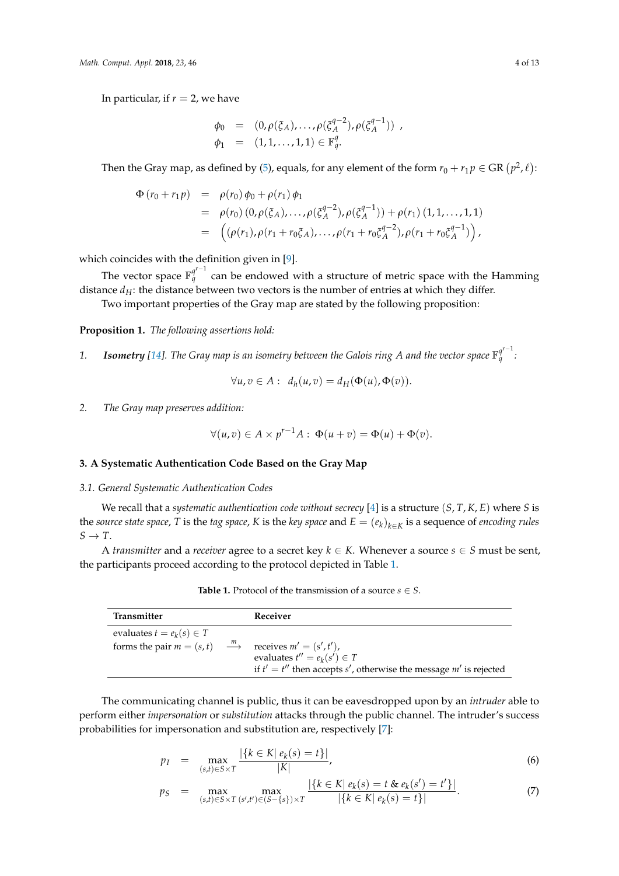In particular, if  $r = 2$ , we have

$$
\varphi_0 = (0, \rho(\xi_A), \dots, \rho(\xi_A^{q-2}), \rho(\xi_A^{q-1})) ,
$$
  
\n
$$
\varphi_1 = (1, 1, \dots, 1, 1) \in \mathbb{F}_q^q.
$$

Then the Gray map, as defined by [\(5\)](#page-2-1), equals, for any element of the form  $r_0 + r_1 p \in \text{GR }(p^2, \ell)$ :

$$
\Phi(r_0 + r_1 p) = \rho(r_0) \phi_0 + \rho(r_1) \phi_1 \n= \rho(r_0) (0, \rho(\xi_A), \ldots, \rho(\xi_A^{q-2}), \rho(\xi_A^{q-1})) + \rho(r_1) (1, 1, \ldots, 1, 1) \n= ((\rho(r_1), \rho(r_1 + r_0\xi_A), \ldots, \rho(r_1 + r_0\xi_A^{q-2}), \rho(r_1 + r_0\xi_A^{q-1})),
$$

which coincides with the definition given in [\[9\]](#page-12-6).

The vector space  $\mathbb{F}_q^{q^{r-1}}$  can be endowed with a structure of metric space with the Hamming distance  $d_H$ : the distance between two vectors is the number of entries at which they differ. Two important properties of the Gray map are stated by the following proposition:

<span id="page-3-4"></span>**Proposition 1.** *The following assertions hold:*

1. *Isometry* [\[14\]](#page-12-11). The Gray map is an isometry between the Galois ring A and the vector space  $\mathbb{F}_q^{q^{r-1}}$ *q :*

$$
\forall u, v \in A: d_h(u, v) = d_H(\Phi(u), \Phi(v)).
$$

*2. The Gray map preserves addition:*

$$
\forall (u,v) \in A \times p^{r-1}A : \Phi(u+v) = \Phi(u) + \Phi(v).
$$

## <span id="page-3-0"></span>**3. A Systematic Authentication Code Based on the Gray Map**

#### <span id="page-3-1"></span>*3.1. General Systematic Authentication Codes*

We recall that a *systematic authentication code without secrecy* [\[4\]](#page-12-1) is a structure (*S*, *T*, *K*, *E*) where *S* is the *source state space*, *T* is the *tag space*, *K* is the *key space* and *E* = (*ek*)*k*∈*<sup>K</sup>* is a sequence of *encoding rules*  $S \rightarrow T$ .

<span id="page-3-2"></span>A *transmitter* and a *receiver* agree to a secret key  $k \in K$ . Whenever a source  $s \in S$  must be sent, the participants proceed according to the protocol depicted in Table [1.](#page-3-2)

| Transmitter                                   | Receiver                                                              |
|-----------------------------------------------|-----------------------------------------------------------------------|
| evaluates $t = e_k(s) \in T$                  |                                                                       |
| forms the pair $m = (s, t)$ $\longrightarrow$ | receives $m' = (s', t')$ ,                                            |
|                                               | evaluates $t'' = e_k(s') \in T$                                       |
|                                               | if $t' = t''$ then accepts s', otherwise the message $m'$ is rejected |

**Table 1.** Protocol of the transmission of a source  $s \in S$ .

The communicating channel is public, thus it can be eavesdropped upon by an *intruder* able to perform either *impersonation* or *substitution* attacks through the public channel. The intruder's success probabilities for impersonation and substitution are, respectively [\[7\]](#page-12-4):

<span id="page-3-3"></span>
$$
p_I = \max_{(s,t)\in S\times T} \frac{|\{k \in K | e_k(s) = t\}|}{|K|},
$$
\n(6)

$$
p_S = \max_{(s,t)\in S\times T} \max_{(s',t')\in (S-\{s\})\times T} \frac{|\{k\in K \mid e_k(s) = t \& e_k(s') = t'\}|}{|\{k\in K \mid e_k(s) = t\}|}.
$$
(7)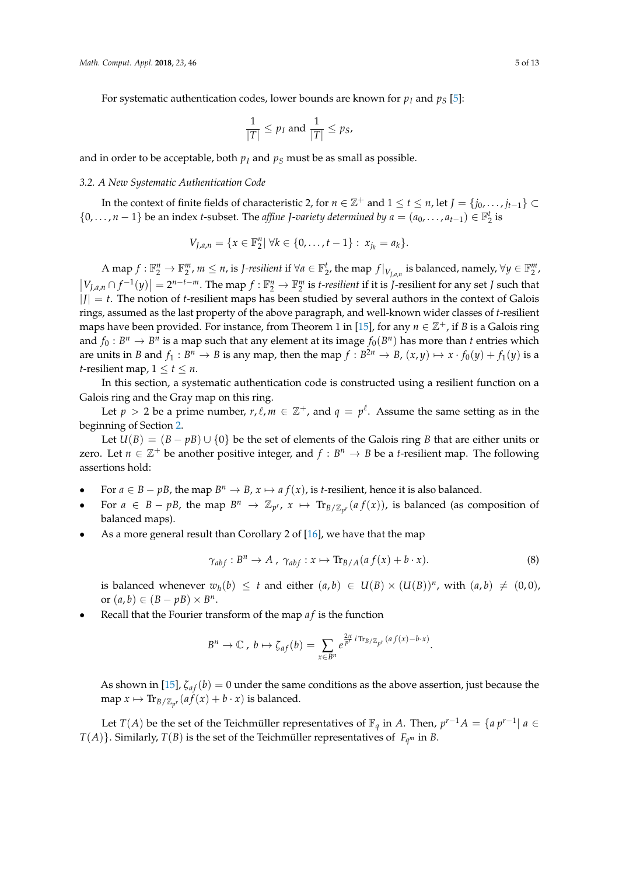For systematic authentication codes, lower bounds are known for  $p_I$  and  $p_S$  [\[5\]](#page-12-2):

$$
\frac{1}{|T|} \le p_I \text{ and } \frac{1}{|T|} \le p_S,
$$

and in order to be acceptable, both  $p_I$  and  $p_S$  must be as small as possible.

#### <span id="page-4-0"></span>*3.2. A New Systematic Authentication Code*

In the context of finite fields of characteristic 2, for  $n \in \mathbb{Z}^+$  and  $1 \leq t \leq n$ , let  $J = \{j_0, \ldots, j_{t-1}\} \subset$ {0, . . . , *n* − 1} be an index *t*-subset. The *affine J*-variety determined by  $a = (a_0, ..., a_{t-1}) \in \mathbb{F}_2^t$  is

$$
V_{J,a,n} = \{x \in \mathbb{F}_2^n | \forall k \in \{0,\ldots,t-1\} : x_{j_k} = a_k\}.
$$

A map  $f: \mathbb{F}_2^n \to \mathbb{F}_2^m$ ,  $m \leq n$ , is *J-resilient* if  $\forall a \in \mathbb{F}_2^t$ , the map  $f|_{V_{J,a,n}}$  is balanced, namely,  $\forall y \in \mathbb{F}_2^m$ ,  $|V_{J,a,n} \cap f^{-1}(y)| = 2^{n-t-m}$ . The map  $f : \mathbb{F}_2^n \to \mathbb{F}_2^m$  is *t-resilient* if it is *J*-resilient for any set *J* such that  $|J| = t$ . The notion of *t*-resilient maps has been studied by several authors in the context of Galois rings, assumed as the last property of the above paragraph, and well-known wider classes of *t*-resilient maps have been provided. For instance, from Theorem 1 in [\[15\]](#page-12-12), for any  $n \in \mathbb{Z}^+$ , if *B* is a Galois ring and  $f_0: B^n \to B^n$  is a map such that any element at its image  $f_0(B^n)$  has more than *t* entries which are units in *B* and  $f_1: B^n \to B$  is any map, then the map  $f: B^{2n} \to B$ ,  $(x, y) \mapsto x \cdot f_0(y) + f_1(y)$  is a *t*-resilient map,  $1 \le t \le n$ .

In this section, a systematic authentication code is constructed using a resilient function on a Galois ring and the Gray map on this ring.

Let  $p > 2$  be a prime number,  $r, \ell, m \in \mathbb{Z}^+$ , and  $q = p^{\ell}$ . Assume the same setting as in the beginning of Section [2.](#page-1-0)

Let  $U(B) = (B - pB) \cup \{0\}$  be the set of elements of the Galois ring *B* that are either units or zero. Let  $n \in \mathbb{Z}^+$  be another positive integer, and  $f : B^n \to B$  be a *t*-resilient map. The following assertions hold:

- For  $a \in B pB$ , the map  $B^n \to B$ ,  $x \mapsto a f(x)$ , is *t*-resilient, hence it is also balanced.
- For  $a \in B pB$ , the map  $B^n \to \mathbb{Z}_{p^r}$ ,  $x \mapsto \text{Tr}_{B/\mathbb{Z}_{p^r}}(af(x))$ , is balanced (as composition of balanced maps).
- As a more general result than Corollary 2 of [\[16\]](#page-12-13), we have that the map

<span id="page-4-1"></span>
$$
\gamma_{abf} : B^n \to A \ , \ \gamma_{abf} : x \mapsto \text{Tr}_{B/A}(af(x) + b \cdot x). \tag{8}
$$

is balanced whenever  $w_h(b) \leq t$  and either  $(a, b) \in U(B) \times (U(B))^n$ , with  $(a, b) \neq (0, 0)$ , or  $(a, b) \in (B - pB) \times B^n$ .

• Recall that the Fourier transform of the map *a f* is the function

$$
B^n \to \mathbb{C} \ , \ b \mapsto \zeta_{af}(b) = \sum_{x \in B^n} e^{\frac{2\pi}{p^r} i \text{Tr}_{B/\mathbb{Z}_{p^r}}(af(x)-b \cdot x)}.
$$

As shown in [\[15\]](#page-12-12),  $\zeta_{af}(b) = 0$  under the same conditions as the above assertion, just because the map  $x \mapsto \text{Tr}_{B/\mathbb{Z}_{p^r}}(af(x) + b \cdot x)$  is balanced.

Let *T*(*A*) be the set of the Teichmüller representatives of  $\mathbb{F}_q$  in *A*. Then,  $p^{r-1}A = \{a\ p^{r-1} | a \in \mathbb{F}_q$  $T(A)$ }. Similarly,  $T(B)$  is the set of the Teichmüller representatives of  $F_{q^m}$  in *B*.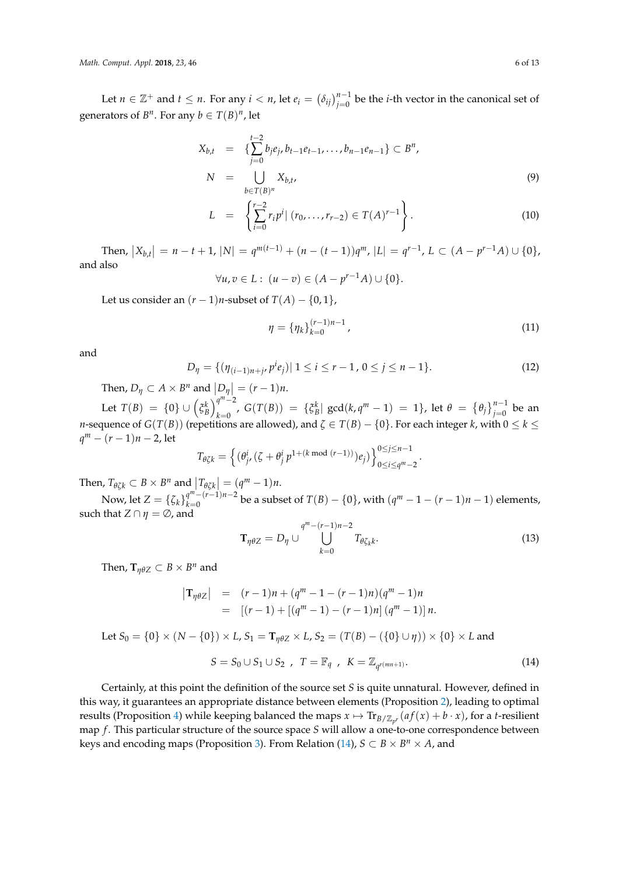Let  $n \in \mathbb{Z}^+$  and  $t \leq n$ . For any  $i < n$ , let  $e_i = (\delta_{ij})_{j=0}^{n-1}$  be the *i*-th vector in the canonical set of generators of  $B^n$ . For any  $b \in T(B)^n$ , let

<span id="page-5-1"></span>
$$
X_{b,t} = \{ \sum_{j=0}^{t-2} b_j e_j, b_{t-1} e_{t-1}, \dots, b_{n-1} e_{n-1} \} \subset B^n,
$$
  
\n
$$
N = \bigcup_{b \in T(B)^n} X_{b,t},
$$
\n(9)

$$
L = \left\{ \sum_{i=0}^{r-2} r_i p^i \mid (r_0, \dots, r_{r-2}) \in T(A)^{r-1} \right\}.
$$
 (10)

Then,  $|X_{b,t}| = n-t+1$ ,  $|N| = q^{m(t-1)} + (n-(t-1))q^m$ ,  $|L| = q^{r-1}$ ,  $L \subset (A - p^{r-1}A) \cup \{0\}$ , and also

$$
\forall u, v \in L : (u - v) \in (A - p^{r-1}A) \cup \{0\}.
$$

Let us consider an  $(r-1)n$ -subset of  $T(A) - \{0, 1\},$ 

$$
\eta = {\eta_k}_{k=0}^{(r-1)n-1},\tag{11}
$$

and

$$
D_{\eta} = \{ (\eta_{(i-1)n+j}, p^{i} e_j) | 1 \le i \le r-1, 0 \le j \le n-1 \}. \tag{12}
$$

Then,  $D_{\eta} \subset A \times B^{n}$  and  $\left| \underset{m}{D_{\eta}} \right| = (r - 1)n$ .

Let  $T(B) = \{0\} \cup (\xi_B^k)_{k=0}^{q^m-2}$ *k*=0, *G*(*T*(*B*)) = {*ξ*<sup>*k*</sup><sub>*B*</sub>| *gcd*(*k*, *q*<sup>*m*</sup> − 1) = 1}, let *θ* = {*θ<sub>j</sub>*}<sup>*n*-1</sup><sub>*j*=0</sub> be an *n*-sequence of  $G(T(B))$  (repetitions are allowed), and  $\zeta\in T(B)-\{0\}.$  For each integer  $k$ , with  $0\leq k\leq$ *q <sup>m</sup>* − (*r* − 1)*n* − 2, let

$$
T_{\theta\zeta k} = \left\{(\theta_j^i, (\zeta + \theta_j^i p^{1 + (k \bmod (r-1))})e_j)\right\}_{0 \le i \le q^m-2}^{0 \le j \le n-1}.
$$

Then,  $T_{\theta \zeta k} \subset B \times B^n$  and  $|T_{\theta \zeta k}| = (q^m - 1)n$ .

Now, let  $Z = {\{\zeta_k\}}_{k=0}^{q^m - (r-1)n-2}$ *q*<sup>*m*</sup>−(*r*−1)*n*−2 be a subset of  $T(B) - \{0\}$ , with  $(q^m - 1 - (r - 1)n - 1)$  elements, such that  $Z \cap \eta = \emptyset$ , and

$$
\mathbf{T}_{\eta\theta Z} = D_{\eta} \cup \bigcup_{k=0}^{q^m - (r-1)n - 2} T_{\theta \zeta_k k}.
$$
 (13)

Then,  $\mathbf{T}_{\eta\theta Z} \subset B \times B^n$  and

$$
\begin{array}{rcl}\n\left| \mathbf{T}_{\eta \theta Z} \right| & = & (r-1)n + (q^m - 1 - (r-1)n)(q^m - 1)n \\
& = & [(r-1) + [(q^m - 1) - (r-1)n] (q^m - 1)]n.\n\end{array}
$$

Let  $S_0 = \{0\} \times (N - \{0\}) \times L$ ,  $S_1 = T_{n\theta Z} \times L$ ,  $S_2 = (T(B) - (\{0\} \cup \eta)) \times \{0\} \times L$  and

<span id="page-5-0"></span>
$$
S = S_0 \cup S_1 \cup S_2 \, , \, T = \mathbb{F}_q \, , \, K = \mathbb{Z}_{q^{r(mn+1)}}.
$$
 (14)

Certainly, at this point the definition of the source set *S* is quite unnatural. However, defined in this way, it guarantees an appropriate distance between elements (Proposition [2\)](#page-6-1), leading to optimal results (Proposition [4\)](#page-8-0) while keeping balanced the maps  $x \mapsto \text{Tr}_{B/\mathbb{Z}_{p^r}}(af(x) + b \cdot x)$ , for a *t*-resilient map *f*. This particular structure of the source space *S* will allow a one-to-one correspondence between keys and encoding maps (Proposition [3\)](#page-7-0). From Relation [\(14\)](#page-5-0),  $S \subset B \times B^n \times A$ , and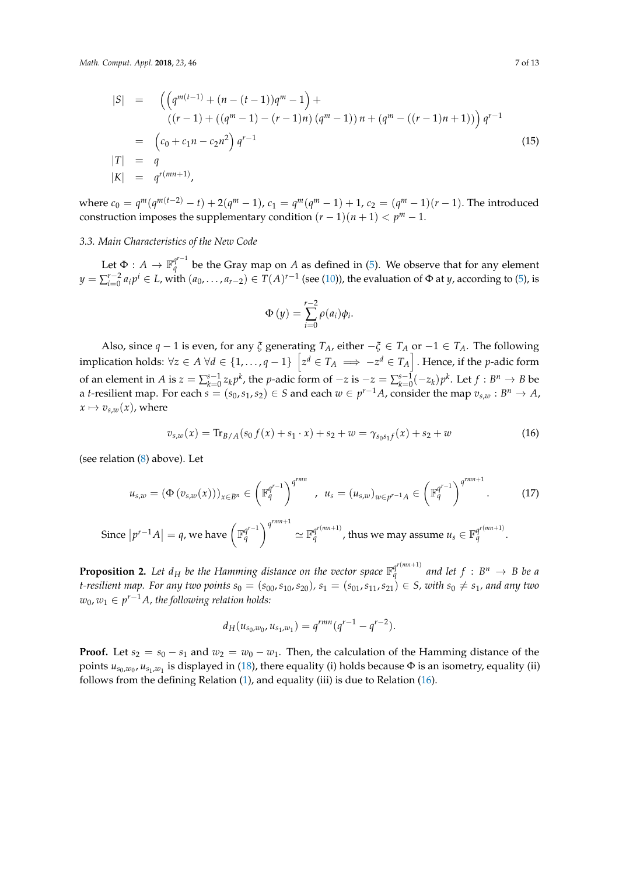<span id="page-6-4"></span>
$$
|S| = \left( \left( q^{m(t-1)} + (n - (t-1))q^m - 1 \right) + \right. \n\left( (r-1) + ((q^m - 1) - (r-1)n) (q^m - 1) \right) n + (q^m - ((r-1)n + 1)) \right) q^{r-1} \n= \left( c_0 + c_1 n - c_2 n^2 \right) q^{r-1} \n|T| = q \n|K| = q^{r(mn+1)},
$$
\n(15)

where  $c_0 = q^m(q^{m(t-2)} - t) + 2(q^m - 1)$ ,  $c_1 = q^m(q^m - 1) + 1$ ,  $c_2 = (q^m - 1)(r - 1)$ . The introduced construction imposes the supplementary condition  $(r-1)(n+1) < p^m - 1$ .

#### <span id="page-6-0"></span>*3.3. Main Characteristics of the New Code*

Let  $\Phi: A \to \mathbb{F}_q^{q^{r-1}}$  be the Gray map on  $A$  as defined in [\(5\)](#page-2-1). We observe that for any element *y* =  $\sum_{i=0}^{r-2} a_i p^i$  ∈ *L*, with  $(a_0, ..., a_{r-2})$  ∈ *T*(*A*)<sup>*r*−1</sup> (see [\(10\)](#page-5-1)), the evaluation of Φ at *y*, according to [\(5\)](#page-2-1), is

$$
\Phi(y) = \sum_{i=0}^{r-2} \rho(a_i)\phi_i.
$$

Also, since  $q - 1$  is even, for any  $\zeta$  generating  $T_A$ , either  $-\zeta \in T_A$  or  $-1 \in T_A$ . The following implication holds:  $\forall z \in A$   $\forall d \in \{1,\ldots,q-1\}$   $\left[z^d \in T_A \implies -z^d \in T_A\right]$  . Hence, if the *p*-adic form of an element in A is  $z = \sum_{k=0}^{s-1} z_k p^k$ , the p-adic form of  $-z$  is  $-z = \sum_{k=0}^{s-1} (-z_k) p^k$ . Let  $f : B^n \to B$  be a *t*-resilient map. For each  $s = (s_0, s_1, s_2) \in S$  and each  $w \in p^{r-1}A$ , consider the map  $v_{s,w}: B^n \to A$ ,  $x \mapsto v_{s,w}(x)$ , where

<span id="page-6-2"></span>
$$
v_{s,w}(x) = \text{Tr}_{B/A}(s_0 f(x) + s_1 \cdot x) + s_2 + w = \gamma_{s_0 s_1 f}(x) + s_2 + w \tag{16}
$$

(see relation [\(8\)](#page-4-1) above). Let

<span id="page-6-3"></span>
$$
u_{s,w} = (\Phi(v_{s,w}(x)))_{x \in B^n} \in \left(\mathbb{F}_q^{q^{r-1}}\right)^{q^{rmn}}, \quad u_s = (u_{s,w})_{w \in p^{r-1}A} \in \left(\mathbb{F}_q^{q^{r-1}}\right)^{q^{rmn+1}}.\tag{17}
$$

Since 
$$
|p^{r-1}A| = q
$$
, we have  $\left(\mathbb{F}_q^{q^{r-1}}\right)^{q^{rmn+1}} \simeq \mathbb{F}_q^{q^{r(mn+1)}}$ , thus we may assume  $u_s \in \mathbb{F}_q^{q^{r(mn+1)}}$ .

<span id="page-6-1"></span>**Proposition 2.** Let  $d_H$  be the Hamming distance on the vector space  $\mathbb{F}_q^{q^{r(nm+1)}}$  and let  $f : B^n \to B$  be a *t*-resilient map. For any two points  $s_0 = (s_{00}, s_{10}, s_{20})$ ,  $s_1 = (s_{01}, s_{11}, s_{21})$  ∈ *S*, with  $s_0 ≠ s_1$ , and any two *w*0, *w*<sup>1</sup> ∈ *p <sup>r</sup>*−1*A, the following relation holds:*

$$
d_H(u_{s_0,w_0},u_{s_1,w_1})=q^{rmn}(q^{r-1}-q^{r-2}).
$$

**Proof.** Let  $s_2 = s_0 - s_1$  and  $w_2 = w_0 - w_1$ . Then, the calculation of the Hamming distance of the points  $u_{s_0,w_0}$ ,  $u_{s_1,w_1}$  is displayed in [\(18\)](#page-7-1), there equality (i) holds because  $\Phi$  is an isometry, equality (ii) follows from the defining Relation [\(1\)](#page-2-2), and equality (iii) is due to Relation [\(16\)](#page-6-2).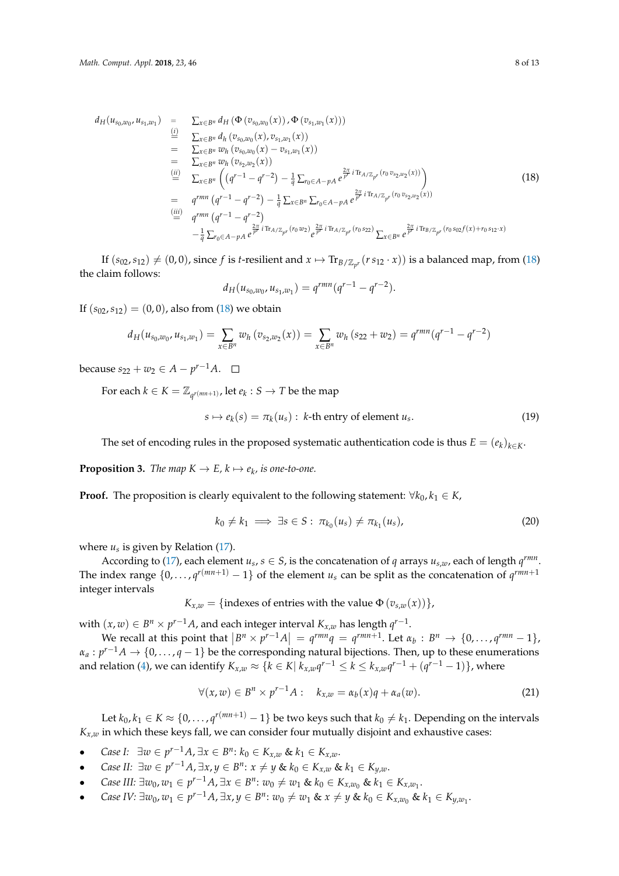<span id="page-7-1"></span>
$$
d_{H}(u_{s_{0},w_{0}},u_{s_{1},w_{1}}) = \sum_{x \in B^{n}} d_{H} (\Phi(v_{s_{0},w_{0}}(x)),\Phi(v_{s_{1},w_{1}}(x)))
$$
  
\n
$$
= \sum_{x \in B^{n}} d_{h}(v_{s_{0},w_{0}}(x),v_{s_{1},w_{1}}(x))
$$
  
\n
$$
= \sum_{x \in B^{n}} w_{h}(v_{s_{0},w_{0}}(x)-v_{s_{1},w_{1}}(x))
$$
  
\n
$$
= \sum_{x \in B^{n}} w_{h}(v_{s_{2},w_{2}}(x))
$$
  
\n
$$
\stackrel{(ii)}{=} \sum_{x \in B^{n}} ((q^{r-1}-q^{r-2}) - \frac{1}{q} \sum_{r_{0} \in A-pA} e^{\frac{2\pi}{p^{r}}i\operatorname{Tr}_{A/\mathbb{Z}_{p^{r}}}(r_{0}v_{s_{2},w_{2}}(x)))}
$$
  
\n
$$
= q^{rmn} (q^{r-1}-q^{r-2}) - \frac{1}{q} \sum_{x \in B^{n}} \sum_{r_{0} \in A-pA} e^{\frac{2\pi}{p^{r}}i\operatorname{Tr}_{A/\mathbb{Z}_{p^{r}}}(r_{0}v_{s_{2},w_{2}}(x))}
$$
  
\n
$$
\stackrel{(iii)}{=} q^{rmn} (q^{r-1}-q^{r-2})
$$
  
\n
$$
- \frac{1}{q} \sum_{r_{0} \in A-pA} e^{\frac{2\pi}{p^{r}}i\operatorname{Tr}_{A/\mathbb{Z}_{p^{r}}}(r_{0}w_{2})} e^{\frac{2\pi}{p^{r}}i\operatorname{Tr}_{A/\mathbb{Z}_{p^{r}}}(r_{0}s_{22})} \sum_{x \in B^{n}} e^{\frac{2\pi}{p^{r}}i\operatorname{Tr}_{B/\mathbb{Z}_{p^{r}}}(r_{0}s_{02}f(x)+r_{0}s_{12}x)
$$
  
\n(18)

If  $(s_{02}, s_{12}) \neq (0, 0)$ , since  $f$  is *t*-resilient and  $x \mapsto \text{Tr}_{B/\mathbb{Z}_{p^r}}(r s_{12}\cdot x))$  is a balanced map, from [\(18\)](#page-7-1) the claim follows:

$$
d_H(u_{s_0,w_0},u_{s_1,w_1})=q^{rmn}(q^{r-1}-q^{r-2}).
$$

If  $(s_{02}, s_{12}) = (0, 0)$ , also from [\(18\)](#page-7-1) we obtain

$$
d_H(u_{s_0,w_0},u_{s_1,w_1})=\sum_{x\in B^n}w_h(v_{s_2,w_2}(x))=\sum_{x\in B^n}w_h(s_{22}+w_2)=q^{rmn}(q^{r-1}-q^{r-2})
$$

 $\text{because } s_{22} + w_2 \in A - p^{r-1}A.$ 

For each  $k \in K = \mathbb{Z}_{q^{r(mn+1)}}$ , let  $e_k : S \to T$  be the map

<span id="page-7-2"></span>
$$
s \mapsto e_k(s) = \pi_k(u_s) : k\text{-th entry of element } u_s. \tag{19}
$$

The set of encoding rules in the proposed systematic authentication code is thus  $E = (e_k)_{k \in K}$ .

<span id="page-7-0"></span>**Proposition 3.** *The map*  $K \to E$ ,  $k \mapsto e_k$ , is one-to-one.

**Proof.** The proposition is clearly equivalent to the following statement:  $\forall k_0, k_1 \in K$ ,

$$
k_0 \neq k_1 \implies \exists s \in S : \pi_{k_0}(u_s) \neq \pi_{k_1}(u_s), \tag{20}
$$

where  $u_s$  is given by Relation [\(17\)](#page-6-3).

According to [\(17\)](#page-6-3), each element  $u_s$ ,  $s \in S$ , is the concatenation of *q* arrays  $u_{s,w}$ , each of length  $q^{rm}$ . The index range  $\{0,\ldots,q^{r(mn+1)}-1\}$  of the element  $u_s$  can be split as the concatenation of  $q^{rm+1}$ integer intervals

$$
K_{x,w} = \{\text{indexes of entries with the value } \Phi(v_{s,w}(x))\},\
$$

with  $(x, w) \in B^n \times p^{r-1}A$ , and each integer interval  $K_{x,w}$  has length  $q^{r-1}$ .

We recall at this point that  $|B^n \times p^{r-1}A| = q^{rmn}q = q^{rmn+1}$ . Let  $\alpha_b : B^n \to \{0, \ldots, q^{rmn} - 1\}$ ,  $\alpha_a : p^{r-1}A \to \{0,\ldots,q-1\}$  be the corresponding natural bijections. Then, up to these enumerations and relation [\(4\)](#page-2-3), we can identify  $K_{x,w} \approx \{k \in K | k_{x,w}q^{r-1} \leq k \leq k_{x,w}q^{r-1} + (q^{r-1}-1)\}$ , where

$$
\forall (x,w) \in B^n \times p^{r-1}A: \quad k_{x,w} = \alpha_b(x)q + \alpha_a(w). \tag{21}
$$

Let  $k_0, k_1 \in K \approx \{0, \ldots, q^{r(mn+1)}-1\}$  be two keys such that  $k_0 \neq k_1.$  Depending on the intervals  $K_{x,w}$  in which these keys fall, we can consider four mutually disjoint and exhaustive cases:

- *Case I:*  $\exists w \in p^{r-1}A$ ,  $\exists x \in B^n$ :  $k_0 \in K_{x,w}$  &  $k_1 \in K_{x,w}$ .
- *Case II:*  $\exists w \in p^{r-1}A$ ,  $\exists x, y \in B^n$ :  $x \neq y$  &  $k_0 \in K_{x,w}$  &  $k_1 \in K_{y,w}$ .
- *Case III:* ∃*w*<sub>0</sub>, *w*<sub>1</sub> ∈ *p*<sup>*r*-1</sup>*A*, ∃*x* ∈ *B*<sup>*n*</sup>: *w*<sub>0</sub> ≠ *w*<sub>1</sub> & *k*<sub>0</sub> ∈ *K*<sub>*x*,*w*<sub>0</sub></sub> & *k*<sub>1</sub> ∈ *K*<sub>*x*,*w*<sub>1</sub></sub>.
- Case IV:  $\exists w_0, w_1 \in p^{r-1}A$ ,  $\exists x, y \in B^n$ :  $w_0 \neq w_1$  &  $x \neq y$  &  $k_0 \in K_{x,w_0}$  &  $k_1 \in K_{y,w_1}$ .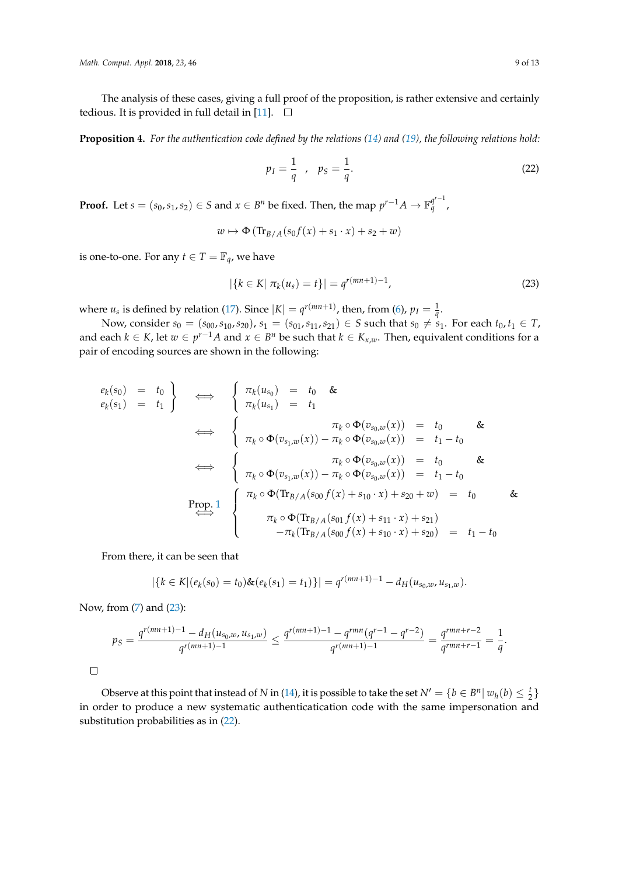The analysis of these cases, giving a full proof of the proposition, is rather extensive and certainly tedious. It is provided in full detail in [\[11\]](#page-12-8).  $\square$ 

<span id="page-8-0"></span>**Proposition 4.** *For the authentication code defined by the relations [\(14\)](#page-5-0) and [\(19\)](#page-7-2), the following relations hold:*

<span id="page-8-2"></span>
$$
p_I = \frac{1}{q} \quad , \quad p_S = \frac{1}{q}.\tag{22}
$$

**Proof.** Let  $s = (s_0, s_1, s_2) \in S$  and  $x \in B^n$  be fixed. Then, the map  $p^{r-1}A \to \mathbb{F}_q^{q^{r-1}}$ *q* ,

$$
w \mapsto \Phi\left(\text{Tr}_{B/A}(s_0f(x) + s_1 \cdot x) + s_2 + w\right)
$$

is one-to-one. For any *t*  $\in T = \mathbb{F}_q$ , we have

<span id="page-8-1"></span>
$$
|\{k \in K | \pi_k(u_s) = t\}| = q^{r(mn+1)-1}, \tag{23}
$$

where  $u_s$  is defined by relation [\(17\)](#page-6-3). Since  $|K| = q^{r(mn+1)}$ , then, from [\(6\)](#page-3-3),  $p_I = \frac{1}{q}$ .

Now, consider *s*<sup>0</sup> = (*s*<sup>00</sup>, *s*<sup>10</sup>, *s*<sup>20</sup>), *s*<sup>1</sup> = (*s*<sup>01</sup>, *s*<sub>11</sub>, *s*<sub>21</sub>) ∈ *S* such that *s*<sup>0</sup> ≠ *s*<sub>1</sub>. For each *t*<sub>0</sub>, *t*<sub>1</sub> ∈ *T*, and each  $k \in K$ , let  $w \in p^{r-1}A$  and  $x \in B^n$  be such that  $k \in K_{x,w}$ . Then, equivalent conditions for a pair of encoding sources are shown in the following:

$$
e_{k}(s_{0}) = t_{0} \quad \Longleftrightarrow \quad \begin{cases} \pi_{k}(u_{s_{0}}) = t_{0} & \& \\ \pi_{k}(u_{s_{1}}) = t_{1} & \\ \hline \end{cases}
$$
\n
$$
\iff \quad \begin{cases} \pi_{k}(u_{s_{1}}) = t_{0} & \& \\ \pi_{k} \circ \Phi(v_{s_{0},w}(x)) - \pi_{k} \circ \Phi(v_{s_{0},w}(x)) & = t_{0} - t_{0} \\ \hline \pi_{k} \circ \Phi(v_{s_{1},w}(x)) - \pi_{k} \circ \Phi(v_{s_{0},w}(x)) & = t_{1} - t_{0} \end{cases}
$$
\n
$$
\iff \quad \begin{cases} \pi_{k} \circ \Phi(v_{s_{1},w}(x)) - \pi_{k} \circ \Phi(v_{s_{0},w}(x)) & = t_{1} - t_{0} \\ \pi_{k} \circ \Phi(v_{s_{1},w}(x)) - \pi_{k} \circ \Phi(v_{s_{0},w}(x)) & = t_{1} - t_{0} \end{cases}
$$
\n
$$
\iff \quad \begin{cases} \pi_{k} \circ \Phi(\text{Tr}_{B/A}(s_{00}f(x) + s_{10} \cdot x) + s_{20} + w) & = t_{0} \\ \pi_{k} \circ \Phi(\text{Tr}_{B/A}(s_{01}f(x) + s_{11} \cdot x) + s_{21}) \\ - \pi_{k}(\text{Tr}_{B/A}(s_{00}f(x) + s_{10} \cdot x) + s_{20}) & = t_{1} - t_{0} \end{cases}
$$

From there, it can be seen that

$$
|\{k \in K | (e_k(s_0) = t_0) \& (e_k(s_1) = t_1)\}| = q^{r(mn+1)-1} - d_H(u_{s_0,w}, u_{s_1,w}).
$$

Now, from [\(7\)](#page-3-3) and [\(23\)](#page-8-1):

$$
p_S = \frac{q^{r(mn+1)-1} - d_H(u_{s_0,w},u_{s_1,w})}{q^{r(mn+1)-1}} \le \frac{q^{r(mn+1)-1} - q^{rmn}(q^{r-1} - q^{r-2})}{q^{r(mn+1)-1}} = \frac{q^{rmn+r-2}}{q^{rmn+r-1}} = \frac{1}{q}.
$$

 $\Box$ 

Observe at this point that instead of *N* in [\(14\)](#page-5-0), it is possible to take the set  $N' = \{b \in B^n | w_h(b) \leq \frac{t}{2}\}$ in order to produce a new systematic authenticatication code with the same impersonation and substitution probabilities as in [\(22\)](#page-8-2).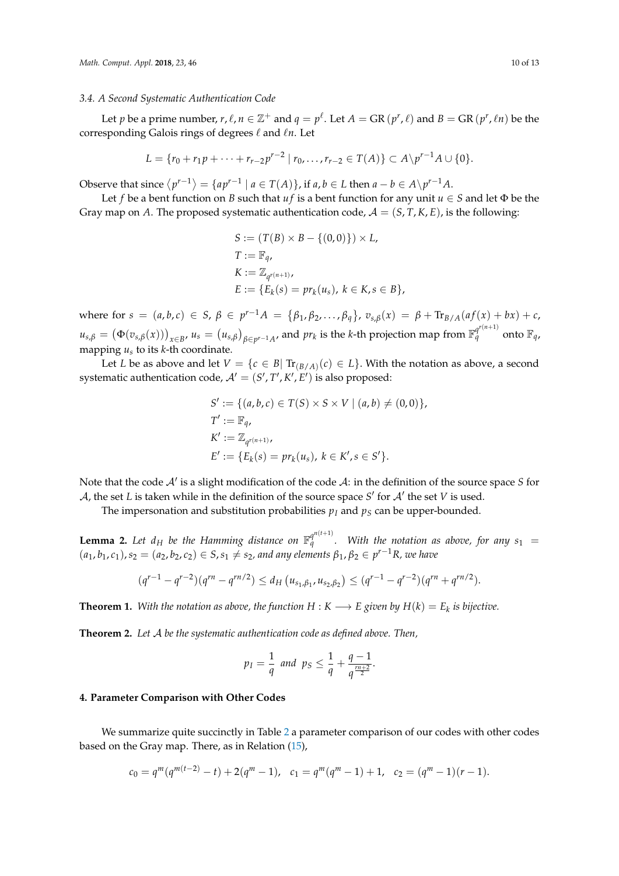#### <span id="page-9-0"></span>*3.4. A Second Systematic Authentication Code*

Let *p* be a prime number,  $r$ ,  $\ell$ ,  $n \in \mathbb{Z}^+$  and  $q = p^{\ell}$ . Let  $A = \text{GR}(p^r, \ell)$  and  $B = \text{GR}(p^r, \ell n)$  be the corresponding Galois rings of degrees  $\ell$  and  $\ell n$ . Let

$$
L = \{r_0 + r_1p + \cdots + r_{r-2}p^{r-2} \mid r_0, \ldots, r_{r-2} \in T(A)\} \subset A\backslash p^{r-1}A \cup \{0\}.
$$

Observe that since  $\langle p^{r-1} \rangle = \{ ap^{r-1} \mid a \in T(A) \}$ , if  $a, b \in L$  then  $a - b \in A \setminus p^{r-1}A$ .

Let *f* be a bent function on *B* such that *uf* is a bent function for any unit  $u \in S$  and let  $\Phi$  be the Gray map on *A*. The proposed systematic authentication code,  $A = (S, T, K, E)$ , is the following:

$$
S := (T(B) \times B - \{(0,0)\}) \times L,
$$
  
\n
$$
T := \mathbb{F}_q,
$$
  
\n
$$
K := \mathbb{Z}_{q^{r(n+1)}},
$$
  
\n
$$
E := \{E_k(s) = pr_k(u_s), k \in K, s \in B\},
$$

where for  $s = (a, b, c) \in S$ ,  $\beta \in p^{r-1}A = {\beta_1, \beta_2, ..., \beta_q}$ ,  $v_{s,\beta}(x) = \beta + \text{Tr}_{B/A}(af(x) + bx) + c$ ,  $u_{s,\beta}=\big(\Phi(v_{s,\beta}(x))\big)_{x\in B'}$   $u_s=\big(u_{s,\beta}\big)_{\beta\in p^{r-1}A'}$  and  $pr_k$  is the  $k$ -th projection map from  $\mathbb{F}_q^{q^{r(n+1)}}$  onto  $\mathbb{F}_q$ , mapping *u<sup>s</sup>* to its *k*-th coordinate.

Let *L* be as above and let  $V = \{c \in B | \operatorname{Tr}_{(B/A)}(c) \in L\}$ . With the notation as above, a second systematic authentication code,  $\mathcal{A}' = (S', T', K', E')$  is also proposed:

$$
S' := \{ (a, b, c) \in T(S) \times S \times V \mid (a, b) \neq (0, 0) \},
$$
  
\n
$$
T' := \mathbb{F}_q,
$$
  
\n
$$
K' := \mathbb{Z}_{q^{r(n+1)}},
$$
  
\n
$$
E' := \{ E_k(s) = pr_k(u_s), \ k \in K', s \in S' \}.
$$

Note that the code  $A'$  is a slight modification of the code  $A$ : in the definition of the source space *S* for A, the set *L* is taken while in the definition of the source space  $S'$  for  $A'$  the set *V* is used.

The impersonation and substitution probabilities  $p_I$  and  $p_S$  can be upper-bounded.

**Lemma 2.** Let  $d_H$  be the Hamming distance on  $\mathbb{F}_q^{q^{n(t+1)}}$  $q^{q}$  . With the notation as above, for any  $s_1 =$  $(a_1, b_1, c_1), s_2 = (a_2, b_2, c_2) \in S$ ,  $s_1 \neq s_2$ , and any elements  $\beta_1, \beta_2 \in p^{r-1}R$ , we have

$$
(q^{r-1}-q^{r-2})(q^{rn}-q^{rn/2}) \leq d_H(u_{s_1,\beta_1},u_{s_2,\beta_2}) \leq (q^{r-1}-q^{r-2})(q^{rn}+q^{rn/2}).
$$

**Theorem 1.** With the notation as above, the function  $H: K \longrightarrow E$  given by  $H(k) = E_k$  is bijective.

**Theorem 2.** *Let* A *be the systematic authentication code as defined above. Then,*

$$
p_I = \frac{1}{q}
$$
 and  $p_S \leq \frac{1}{q} + \frac{q-1}{q^{\frac{m+2}{2}}}.$ 

#### <span id="page-9-1"></span>**4. Parameter Comparison with Other Codes**

We summarize quite succinctly in Table [2](#page-10-0) a parameter comparison of our codes with other codes based on the Gray map. There, as in Relation [\(15\)](#page-6-4),

$$
c_0 = q^m(q^{m(t-2)} - t) + 2(q^m - 1), \quad c_1 = q^m(q^m - 1) + 1, \quad c_2 = (q^m - 1)(r - 1).
$$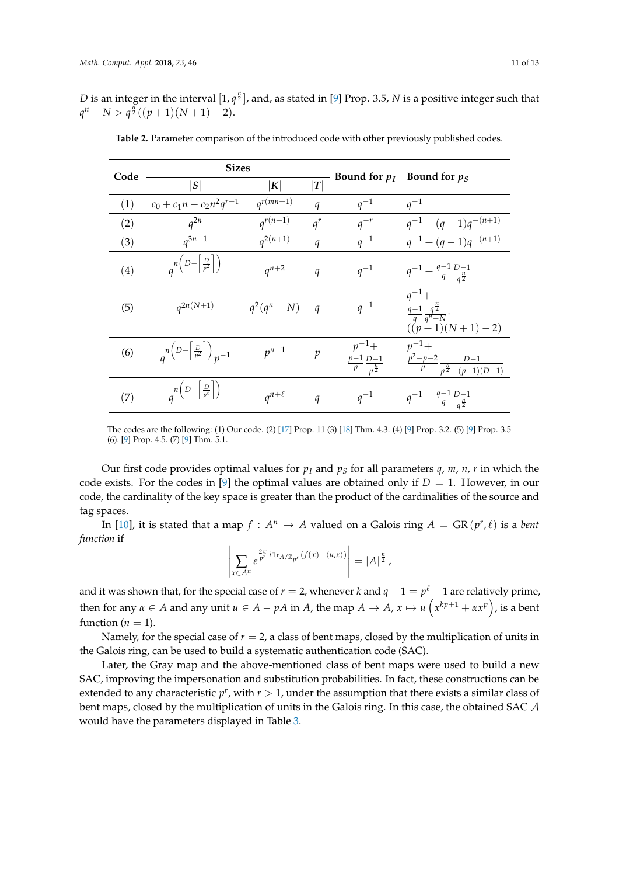<span id="page-10-0"></span>*D* is an integer in the interval  $[1, q^{\frac{n}{2}}]$ , and, as stated in [\[9\]](#page-12-6) Prop. 3.5, *N* is a positive integer such that  $q^n - N > q^{\frac{n}{2}}((p+1)(N+1) - 2).$ 

| Code | <b>Sizes</b>                                                                     |                  |                  |                                                          |                                                                                |
|------|----------------------------------------------------------------------------------|------------------|------------------|----------------------------------------------------------|--------------------------------------------------------------------------------|
|      | S                                                                                | K                | $\boldsymbol{T}$ | Bound for $p_I$                                          | Bound for $p_S$                                                                |
| (1)  | $c_0 + c_1 n - c_2 n^2 q^{r-1}$                                                  | $q^{r(mn+1)}$    | $\boldsymbol{q}$ | $q^{-1}$                                                 | $q^{-1}$                                                                       |
| (2)  | $q^{2n}$                                                                         | $q^{r(n+1)}$     | $q^r$            | $q^{-r}$                                                 | $q^{-1} + (q-1)q^{-(n+1)}$                                                     |
| (3)  | $q^{3n+1}$                                                                       | $q^{2(n+1)}$     | $\boldsymbol{q}$ | $q^{-1}$                                                 | $q^{-1} + (q-1)q^{-(n+1)}$                                                     |
| (4)  | $a^{n(D-\left[\frac{D}{p^2}\right])}$                                            | $a^{n+2}$        | $\boldsymbol{q}$ | $q^{-1}$                                                 | $q^{-1} + \frac{q-1}{q} \frac{D-1}{q^{\frac{n}{2}}}$                           |
| (5)  | $q^{2n(N+1)}$                                                                    | $q^2(q^n - N)$ q |                  | $q^{-1}$                                                 | $q^{-1}+$<br>$\frac{q-1}{q}\frac{q^{\frac{n}{2}}}{q^n-N}.$<br>$((p+1)(N+1)-2)$ |
| (6)  | $\binom{n\left(D-\left\lfloor \frac{D}{p^2}\right\rfloor\right)}{p-1}$           | $p^{n+1}$        | $\mathcal{p}$    | $p^{-1}+$<br>$\frac{p-1}{p} \frac{D-1}{p^{\frac{n}{2}}}$ | $p^{-1}+$<br>$\frac{p^2+p-2}{p} \frac{D-1}{p^{\frac{n}{2}}-(p-1)(D-1)}$        |
| (7)  | $\binom{n\left(D-\left\lfloor \frac{D}{p^{\ell}}\right\rfloor\right)}{p^{\ell}}$ | $a^{n+\ell}$     | $\boldsymbol{q}$ | $q^{-1}$                                                 | $q^{-1} + \frac{q-1}{q} \frac{D-1}{q^{\frac{n}{2}}}$                           |

**Table 2.** Parameter comparison of the introduced code with other previously published codes.

The codes are the following: (1) Our code. (2) [\[17\]](#page-12-14) Prop. 11 (3) [\[18\]](#page-12-15) Thm. 4.3. (4) [\[9\]](#page-12-6) Prop. 3.2. (5) [\[9\]](#page-12-6) Prop. 3.5 (6). [\[9\]](#page-12-6) Prop. 4.5. (7) [\[9\]](#page-12-6) Thm. 5.1.

Our first code provides optimal values for  $p_l$  and  $p_s$  for all parameters  $q_l$ ,  $m_l$ ,  $n_l$ ,  $r$  in which the code exists. For the codes in [\[9\]](#page-12-6) the optimal values are obtained only if  $D = 1$ . However, in our code, the cardinality of the key space is greater than the product of the cardinalities of the source and tag spaces.

In [\[10\]](#page-12-7), it is stated that a map  $f : A^n \to A$  valued on a Galois ring  $A = \text{GR}(p^r, \ell)$  is a *bent function* if

$$
\left|\sum_{x\in A^n} e^{\frac{2\pi}{p^r} i \text{Tr}_{A/\mathbb{Z}_{p^r}}(f(x)-\langle u,x\rangle)}\right| = |A|^{\frac{n}{2}},
$$

and it was shown that, for the special case of  $r = 2$ , whenever  $k$  and  $q - 1 = p^{\ell} - 1$  are relatively prime, then for any  $\alpha \in A$  and any unit  $u \in A - pA$  in *A*, the map  $A \to A$ ,  $x \mapsto u\left(x^{kp+1} + \alpha x^p\right)$ , is a bent function  $(n = 1)$ .

Namely, for the special case of  $r = 2$ , a class of bent maps, closed by the multiplication of units in the Galois ring, can be used to build a systematic authentication code (SAC).

Later, the Gray map and the above-mentioned class of bent maps were used to build a new SAC, improving the impersonation and substitution probabilities. In fact, these constructions can be extended to any characteristic  $p^r$ , with  $r > 1$ , under the assumption that there exists a similar class of bent maps, closed by the multiplication of units in the Galois ring. In this case, the obtained SAC A would have the parameters displayed in Table [3.](#page-11-3)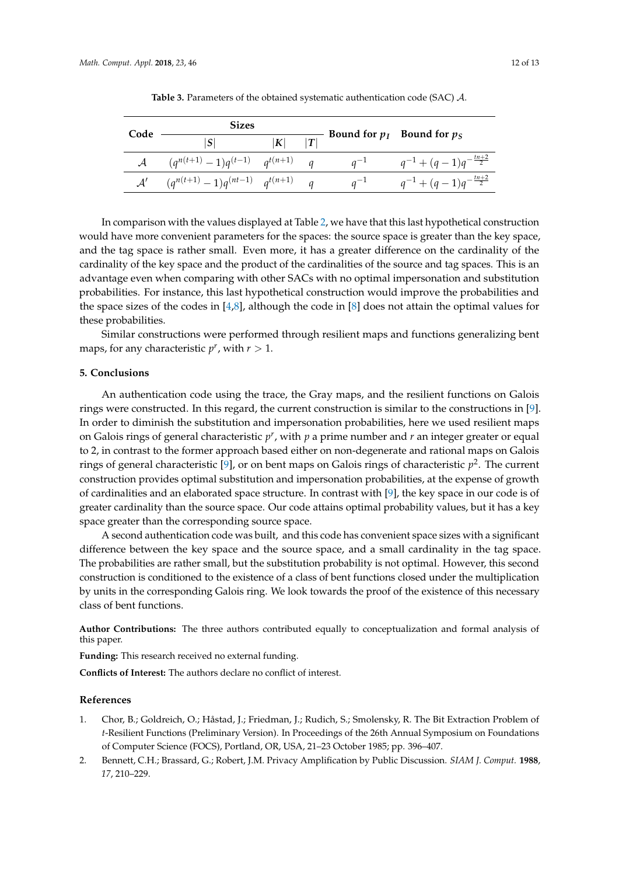<span id="page-11-3"></span>

| Code           | <b>Sizes</b>                             |   |  |          |                                     |
|----------------|------------------------------------------|---|--|----------|-------------------------------------|
|                | S                                        | K |  |          | Bound for $p_I$ Bound for $p_S$     |
|                | $(q^{n(t+1)}-1)q^{(t-1)}$ $q^{t(n+1)}$ q |   |  | $q^{-1}$ | $q^{-1} + (q-1)q^{-\frac{tn+2}{2}}$ |
| $\mathcal{A}'$ | $(q^{n(t+1)}-1)q^{(nt-1)}$ $q^{t(n+1)}$  |   |  | $q^{-1}$ | $q^{-1} + (q-1)q^{-\frac{tn+2}{2}}$ |

**Table 3.** Parameters of the obtained systematic authentication code (SAC) A.

In comparison with the values displayed at Table [2,](#page-10-0) we have that this last hypothetical construction would have more convenient parameters for the spaces: the source space is greater than the key space, and the tag space is rather small. Even more, it has a greater difference on the cardinality of the cardinality of the key space and the product of the cardinalities of the source and tag spaces. This is an advantage even when comparing with other SACs with no optimal impersonation and substitution probabilities. For instance, this last hypothetical construction would improve the probabilities and the space sizes of the codes in  $[4,8]$  $[4,8]$ , although the code in  $[8]$  does not attain the optimal values for these probabilities.

Similar constructions were performed through resilient maps and functions generalizing bent maps, for any characteristic  $p^r$ , with  $r > 1$ .

### <span id="page-11-2"></span>**5. Conclusions**

An authentication code using the trace, the Gray maps, and the resilient functions on Galois rings were constructed. In this regard, the current construction is similar to the constructions in [\[9\]](#page-12-6). In order to diminish the substitution and impersonation probabilities, here we used resilient maps on Galois rings of general characteristic *p r* , with *p* a prime number and *r* an integer greater or equal to 2, in contrast to the former approach based either on non-degenerate and rational maps on Galois rings of general characteristic [\[9\]](#page-12-6), or on bent maps on Galois rings of characteristic *p* 2 . The current construction provides optimal substitution and impersonation probabilities, at the expense of growth of cardinalities and an elaborated space structure. In contrast with [\[9\]](#page-12-6), the key space in our code is of greater cardinality than the source space. Our code attains optimal probability values, but it has a key space greater than the corresponding source space.

A second authentication code was built, and this code has convenient space sizes with a significant difference between the key space and the source space, and a small cardinality in the tag space. The probabilities are rather small, but the substitution probability is not optimal. However, this second construction is conditioned to the existence of a class of bent functions closed under the multiplication by units in the corresponding Galois ring. We look towards the proof of the existence of this necessary class of bent functions.

**Author Contributions:** The three authors contributed equally to conceptualization and formal analysis of this paper.

**Funding:** This research received no external funding.

**Conflicts of Interest:** The authors declare no conflict of interest.

#### **References**

- <span id="page-11-0"></span>1. Chor, B.; Goldreich, O.; Håstad, J.; Friedman, J.; Rudich, S.; Smolensky, R. The Bit Extraction Problem of *t*-Resilient Functions (Preliminary Version). In Proceedings of the 26th Annual Symposium on Foundations of Computer Science (FOCS), Portland, OR, USA, 21–23 October 1985; pp. 396–407.
- <span id="page-11-1"></span>2. Bennett, C.H.; Brassard, G.; Robert, J.M. Privacy Amplification by Public Discussion. *SIAM J. Comput.* **1988**, *17*, 210–229.